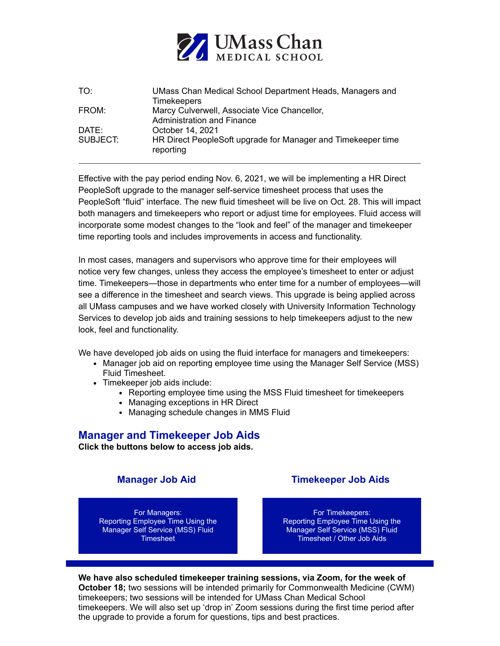

| TO:               | UMass Chan Medical School Department Heads, Managers and<br><b>Timekeepers</b>                |
|-------------------|-----------------------------------------------------------------------------------------------|
| FROM:             | Marcy Culverwell, Associate Vice Chancellor,<br>Administration and Finance                    |
| DATE:<br>SUBJECT: | October 14, 2021<br>HR Direct PeopleSoft upgrade for Manager and Timekeeper time<br>reporting |

Effective with the pay period ending Nov. 6, 2021, we will be implementing a HR Direct PeopleSoft upgrade to the manager self-service timesheet process that uses the PeopleSoft "fluid" interface. The new fluid timesheet will be live on Oct. 28. This will impact both managers and timekeepers who report or adjust time for employees. Fluid access will incorporate some modest changes to the "look and feel" of the manager and timekeeper time reporting tools and includes improvements in access and functionality.

In most cases, managers and supervisors who approve time for their employees will notice very few changes, unless they access the employee's timesheet to enter or adjust time. Timekeepers—those in departments who enter time for a number of employees—will see a difference in the timesheet and search views. This upgrade is being applied across all UMass campuses and we have worked closely with University Information Technology Services to develop job aids and training sessions to help timekeepers adjust to the new look, feel and functionality.

We have developed job aids on using the fluid interface for managers and timekeepers:

- Manager job aid on reporting employee time using the Manager Self Service (MSS) Fluid Timesheet.
- Timekeeper job aids include:
	- Reporting employee time using the MSS Fluid timesheet for timekeepers
	- Managing exceptions in HR Direct
	- Managing schedule changes in MMS Fluid

## **Manager and Timekeeper Job Aids**

**Click the buttons below to access job aids.**

## **Manager Job Aid**

For Managers: [Reporting Employee Time Using the](https://www.umassmed.edu/globalassets/human-resources/documents/hr-direct/job-aids/reporting-employees-time-using-mss-fluid-timesheet-for-managers.pdf) Manager Self Service (MSS) Fluid **Timesheet** 

## **Timekeeper Job Aids**

For Timekeepers: [Reporting Employee Time Using the](https://www.umassmed.edu/hr/hrdirect/timekeeper-job-aids22/) Manager Self Service (MSS) Fluid Timesheet / Other Job Aids

**We have also scheduled timekeeper training sessions, via Zoom, for the week of October 18;** two sessions will be intended primarily for Commonwealth Medicine (CWM) timekeepers; two sessions will be intended for UMass Chan Medical School timekeepers. We will also set up 'drop in' Zoom sessions during the first time period after the upgrade to provide a forum for questions, tips and best practices.